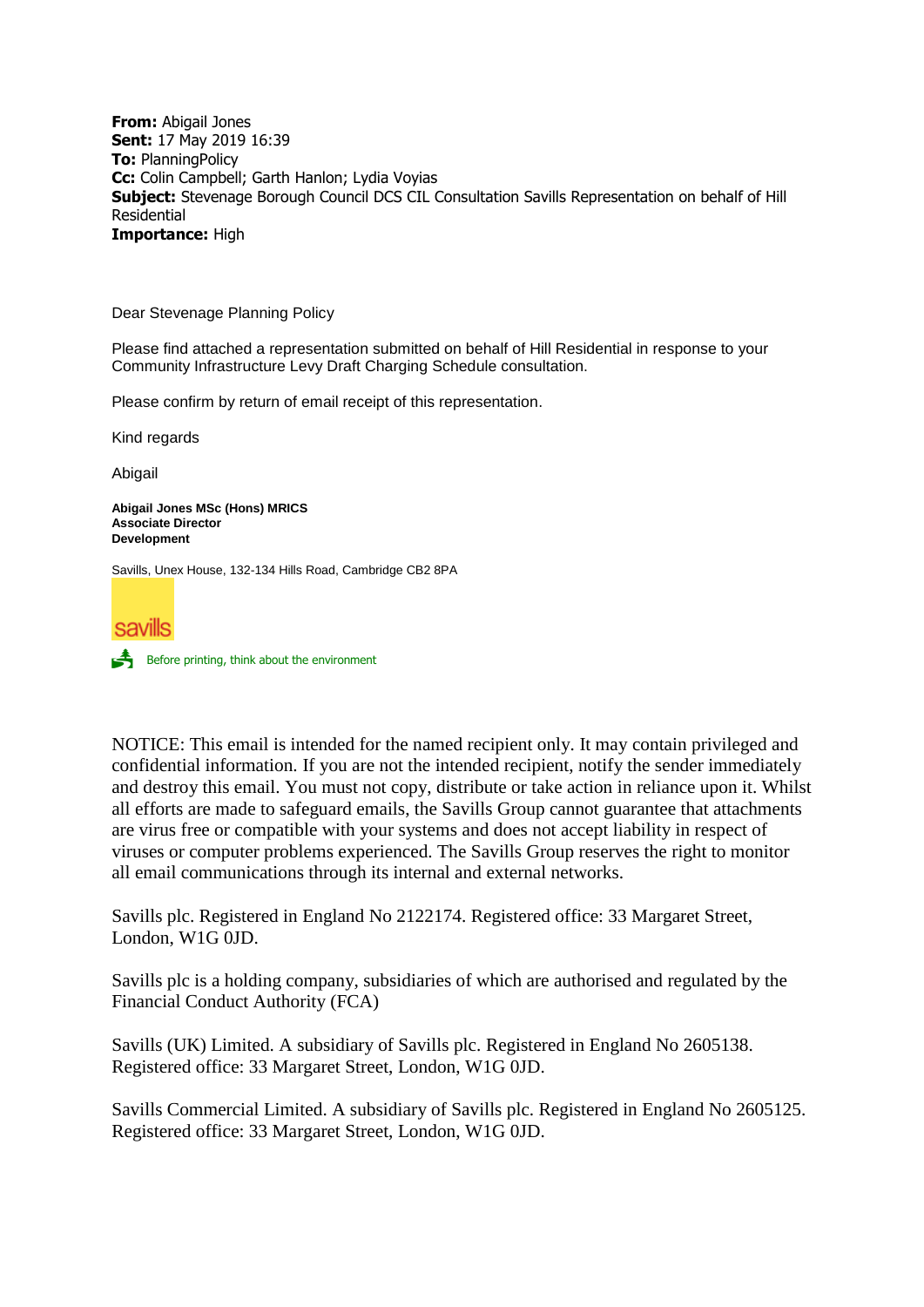**From:** Abigail Jones **Sent:** 17 May 2019 16:39 **To:** PlanningPolicy **Cc:** Colin Campbell; Garth Hanlon; Lydia Voyias **Subject:** Stevenage Borough Council DCS CIL Consultation Savills Representation on behalf of Hill Residential **Importance:** High

Dear Stevenage Planning Policy

Please find attached a representation submitted on behalf of Hill Residential in response to your Community Infrastructure Levy Draft Charging Schedule consultation.

Please confirm by return of email receipt of this representation.

Kind regards

Abigail

**Abigail Jones MSc (Hons) MRICS Associate Director Development**

Savills, Unex House, 132-134 Hills Road, Cambridge CB2 8PA





NOTICE: This email is intended for the named recipient only. It may contain privileged and confidential information. If you are not the intended recipient, notify the sender immediately and destroy this email. You must not copy, distribute or take action in reliance upon it. Whilst all efforts are made to safeguard emails, the Savills Group cannot guarantee that attachments are virus free or compatible with your systems and does not accept liability in respect of viruses or computer problems experienced. The Savills Group reserves the right to monitor all email communications through its internal and external networks.

Savills plc. Registered in England No 2122174. Registered office: 33 Margaret Street, London, W1G 0JD.

Savills plc is a holding company, subsidiaries of which are authorised and regulated by the Financial Conduct Authority (FCA)

Savills (UK) Limited. A subsidiary of Savills plc. Registered in England No 2605138. Registered office: 33 Margaret Street, London, W1G 0JD.

Savills Commercial Limited. A subsidiary of Savills plc. Registered in England No 2605125. Registered office: 33 Margaret Street, London, W1G 0JD.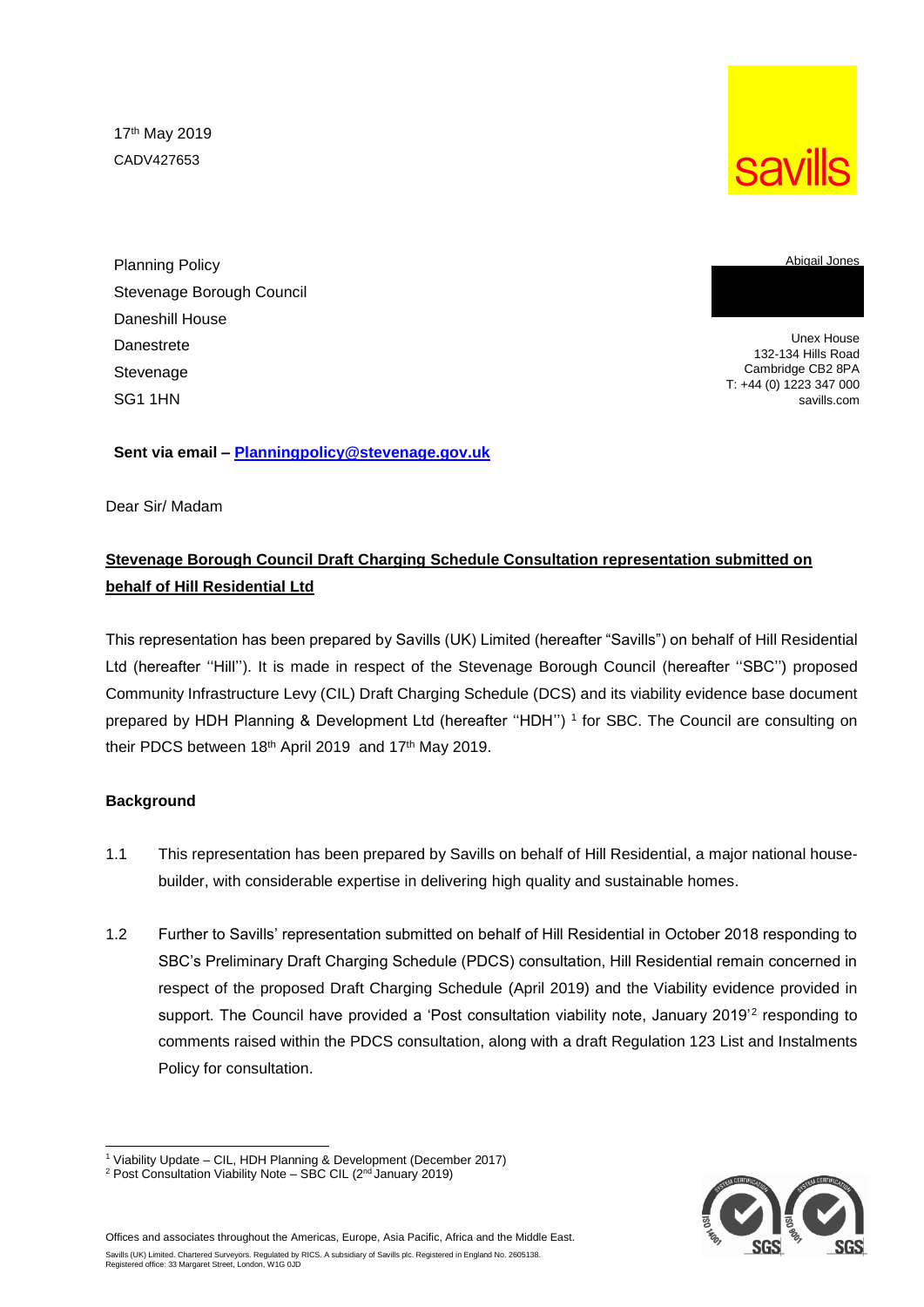17th May 2019 CADV427653



**Savills** 

Unex House 132-134 Hills Road

Abigail Jones

Cambridge CB2 8PA T: +44 (0) 1223 347 000 savills.com

**Sent via email – [Planningpolicy@stevenage.gov.uk](mailto:Planningpolicy@stevenage.gov.uk)**

Dear Sir/ Madam

# **Stevenage Borough Council Draft Charging Schedule Consultation representation submitted on behalf of Hill Residential Ltd**

This representation has been prepared by Savills (UK) Limited (hereafter "Savills") on behalf of Hill Residential Ltd (hereafter ''Hill''). It is made in respect of the Stevenage Borough Council (hereafter ''SBC'') proposed Community Infrastructure Levy (CIL) Draft Charging Schedule (DCS) and its viability evidence base document prepared by HDH Planning & Development Ltd (hereafter ''HDH'') <sup>1</sup> for SBC. The Council are consulting on their PDCS between 18th April 2019 and 17th May 2019.

### **Background**

- 1.1 This representation has been prepared by Savills on behalf of Hill Residential, a major national housebuilder, with considerable expertise in delivering high quality and sustainable homes.
- 1.2 Further to Savills' representation submitted on behalf of Hill Residential in October 2018 responding to SBC's Preliminary Draft Charging Schedule (PDCS) consultation, Hill Residential remain concerned in respect of the proposed Draft Charging Schedule (April 2019) and the Viability evidence provided in support. The Council have provided a 'Post consultation viability note, January 2019'<sup>2</sup> responding to comments raised within the PDCS consultation, along with a draft Regulation 123 List and Instalments Policy for consultation.



l <sup>1</sup> Viability Update – CIL, HDH Planning & Development (December 2017)

<sup>&</sup>lt;sup>2</sup> Post Consultation Viability Note - SBC CIL (2<sup>nd</sup> January 2019)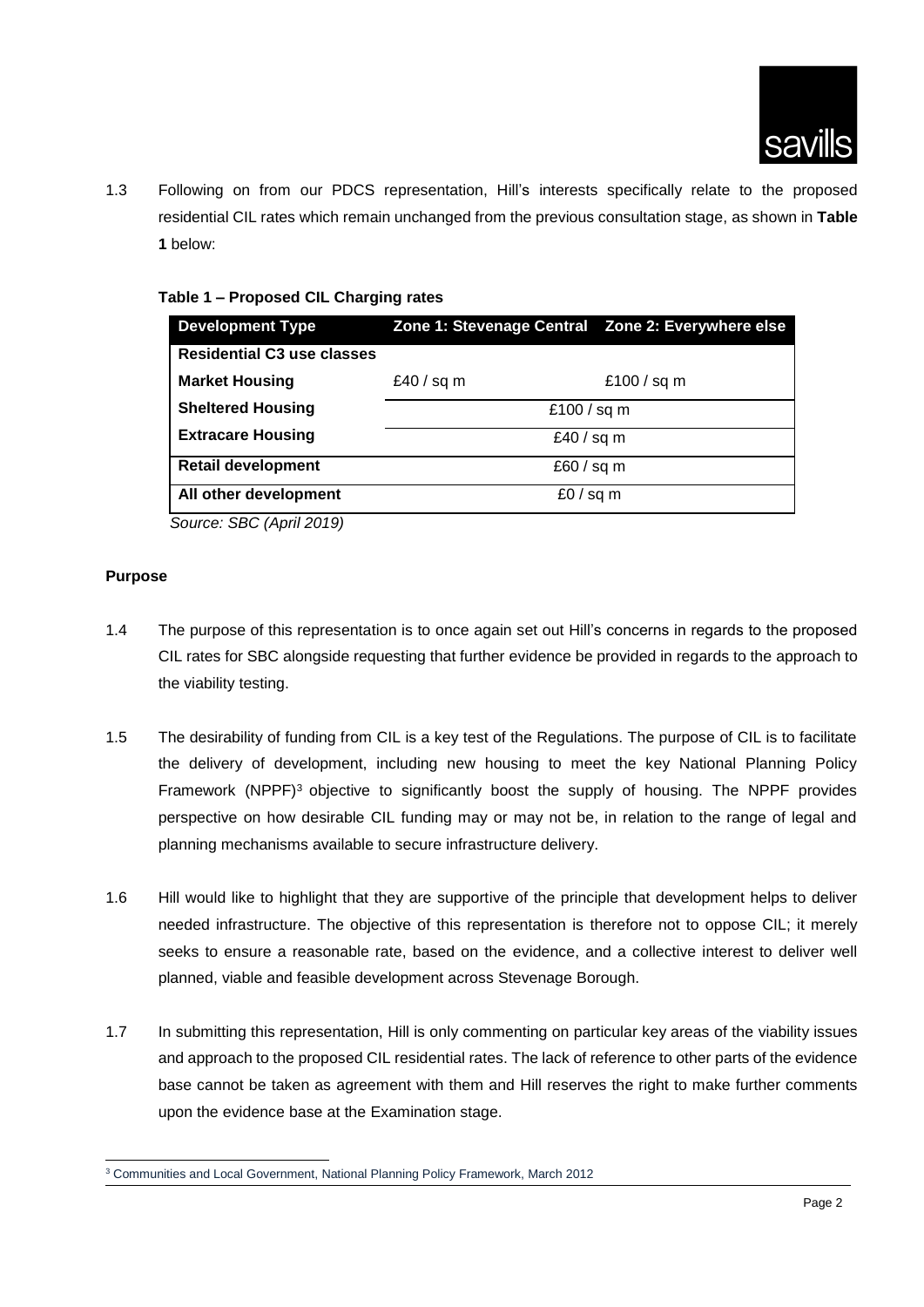

1.3 Following on from our PDCS representation, Hill's interests specifically relate to the proposed residential CIL rates which remain unchanged from the previous consultation stage, as shown in **Table 1** below:

#### **Table 1 – Proposed CIL Charging rates**

| <b>Development Type</b>           | Zone 1: Stevenage Central Zone 2: Everywhere else |             |
|-----------------------------------|---------------------------------------------------|-------------|
| <b>Residential C3 use classes</b> |                                                   |             |
| <b>Market Housing</b>             | £40 / sq m                                        | £100 / sq m |
| <b>Sheltered Housing</b>          | £100 / sq m                                       |             |
| <b>Extracare Housing</b>          | £40 / sq m                                        |             |
| <b>Retail development</b>         | £60 / sq m                                        |             |
| All other development             | £0 / sq m                                         |             |

 *Source: SBC (April 2019)*

#### **Purpose**

- 1.4 The purpose of this representation is to once again set out Hill's concerns in regards to the proposed CIL rates for SBC alongside requesting that further evidence be provided in regards to the approach to the viability testing.
- 1.5 The desirability of funding from CIL is a key test of the Regulations. The purpose of CIL is to facilitate the delivery of development, including new housing to meet the key National Planning Policy Framework (NPPF)<sup>3</sup> objective to significantly boost the supply of housing. The NPPF provides perspective on how desirable CIL funding may or may not be, in relation to the range of legal and planning mechanisms available to secure infrastructure delivery.
- 1.6 Hill would like to highlight that they are supportive of the principle that development helps to deliver needed infrastructure. The objective of this representation is therefore not to oppose CIL; it merely seeks to ensure a reasonable rate, based on the evidence, and a collective interest to deliver well planned, viable and feasible development across Stevenage Borough.
- 1.7 In submitting this representation, Hill is only commenting on particular key areas of the viability issues and approach to the proposed CIL residential rates. The lack of reference to other parts of the evidence base cannot be taken as agreement with them and Hill reserves the right to make further comments upon the evidence base at the Examination stage.

l <sup>3</sup> Communities and Local Government, National Planning Policy Framework, March 2012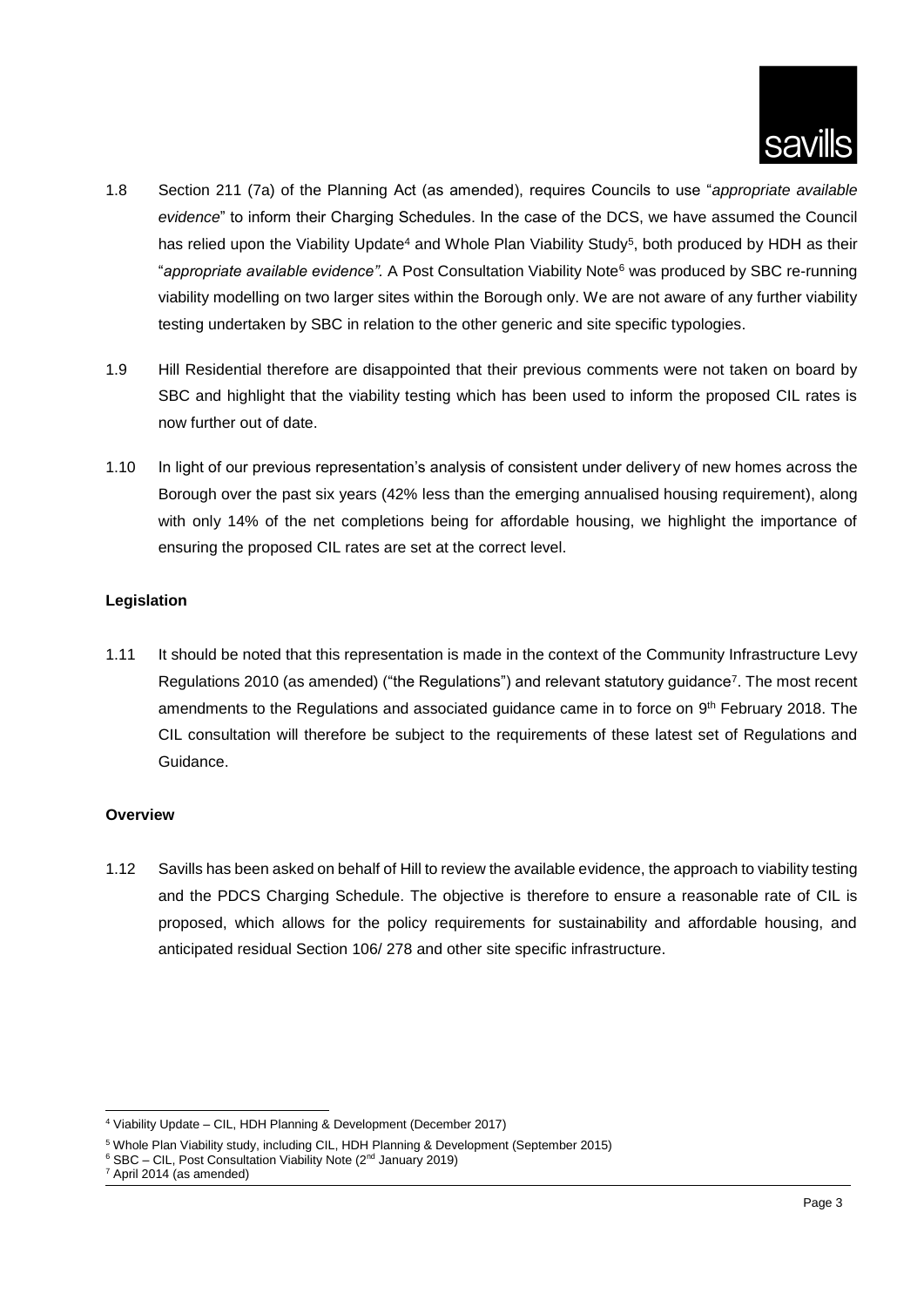

- 1.8 Section 211 (7a) of the Planning Act (as amended), requires Councils to use "*appropriate available evidence*" to inform their Charging Schedules. In the case of the DCS, we have assumed the Council has relied upon the Viability Update<sup>4</sup> and Whole Plan Viability Study<sup>5</sup>, both produced by HDH as their "*appropriate available evidence".* A Post Consultation Viability Note<sup>6</sup> was produced by SBC re-running viability modelling on two larger sites within the Borough only. We are not aware of any further viability testing undertaken by SBC in relation to the other generic and site specific typologies.
- 1.9 Hill Residential therefore are disappointed that their previous comments were not taken on board by SBC and highlight that the viability testing which has been used to inform the proposed CIL rates is now further out of date.
- 1.10 In light of our previous representation's analysis of consistent under delivery of new homes across the Borough over the past six years (42% less than the emerging annualised housing requirement), along with only 14% of the net completions being for affordable housing, we highlight the importance of ensuring the proposed CIL rates are set at the correct level.

## **Legislation**

1.11 It should be noted that this representation is made in the context of the Community Infrastructure Levy Regulations 2010 (as amended) ("the Regulations") and relevant statutory guidance<sup>7</sup>. The most recent amendments to the Regulations and associated guidance came in to force on 9<sup>th</sup> February 2018. The CIL consultation will therefore be subject to the requirements of these latest set of Regulations and Guidance.

### **Overview**

1.12 Savills has been asked on behalf of Hill to review the available evidence, the approach to viability testing and the PDCS Charging Schedule. The objective is therefore to ensure a reasonable rate of CIL is proposed, which allows for the policy requirements for sustainability and affordable housing, and anticipated residual Section 106/ 278 and other site specific infrastructure.

l <sup>4</sup> Viability Update – CIL, HDH Planning & Development (December 2017)

<sup>5</sup> Whole Plan Viability study, including CIL, HDH Planning & Development (September 2015)

 $6$  SBC – CIL, Post Consultation Viability Note ( $2<sup>nd</sup>$  January 2019)

<sup>7</sup> April 2014 (as amended)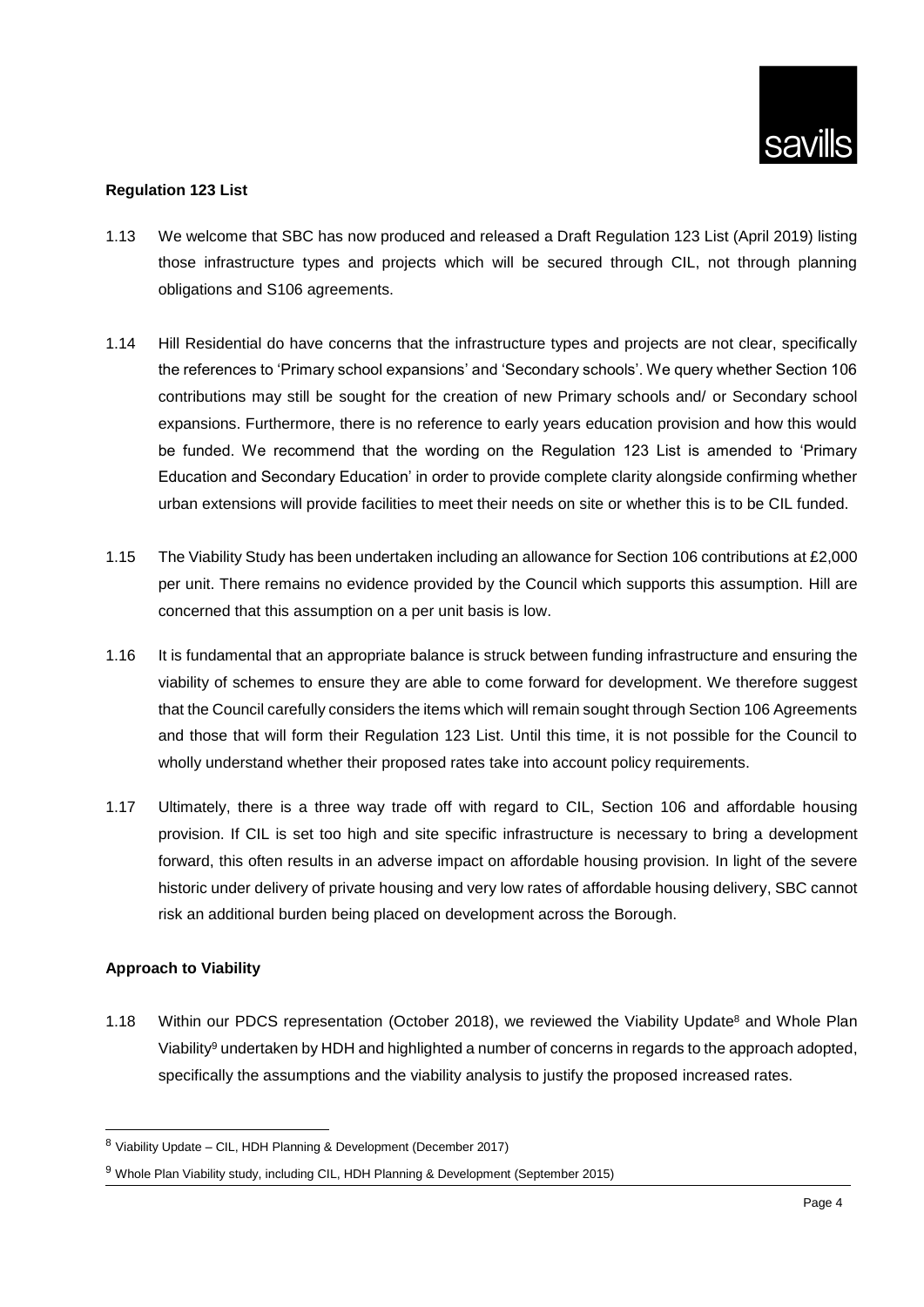## **Regulation 123 List**

- 1.13 We welcome that SBC has now produced and released a Draft Regulation 123 List (April 2019) listing those infrastructure types and projects which will be secured through CIL, not through planning obligations and S106 agreements.
- 1.14 Hill Residential do have concerns that the infrastructure types and projects are not clear, specifically the references to 'Primary school expansions' and 'Secondary schools'. We query whether Section 106 contributions may still be sought for the creation of new Primary schools and/ or Secondary school expansions. Furthermore, there is no reference to early years education provision and how this would be funded. We recommend that the wording on the Regulation 123 List is amended to 'Primary Education and Secondary Education' in order to provide complete clarity alongside confirming whether urban extensions will provide facilities to meet their needs on site or whether this is to be CIL funded.
- 1.15 The Viability Study has been undertaken including an allowance for Section 106 contributions at £2,000 per unit. There remains no evidence provided by the Council which supports this assumption. Hill are concerned that this assumption on a per unit basis is low.
- 1.16 It is fundamental that an appropriate balance is struck between funding infrastructure and ensuring the viability of schemes to ensure they are able to come forward for development. We therefore suggest that the Council carefully considers the items which will remain sought through Section 106 Agreements and those that will form their Regulation 123 List. Until this time, it is not possible for the Council to wholly understand whether their proposed rates take into account policy requirements.
- 1.17 Ultimately, there is a three way trade off with regard to CIL, Section 106 and affordable housing provision. If CIL is set too high and site specific infrastructure is necessary to bring a development forward, this often results in an adverse impact on affordable housing provision. In light of the severe historic under delivery of private housing and very low rates of affordable housing delivery, SBC cannot risk an additional burden being placed on development across the Borough.

## **Approach to Viability**

l

1.18 Within our PDCS representation (October 2018), we reviewed the Viability Update<sup>8</sup> and Whole Plan Viability<sup>9</sup> undertaken by HDH and highlighted a number of concerns in regards to the approach adopted, specifically the assumptions and the viability analysis to justify the proposed increased rates.

<sup>8</sup> Viability Update – CIL, HDH Planning & Development (December 2017)

<sup>&</sup>lt;sup>9</sup> Whole Plan Viability study, including CIL, HDH Planning & Development (September 2015)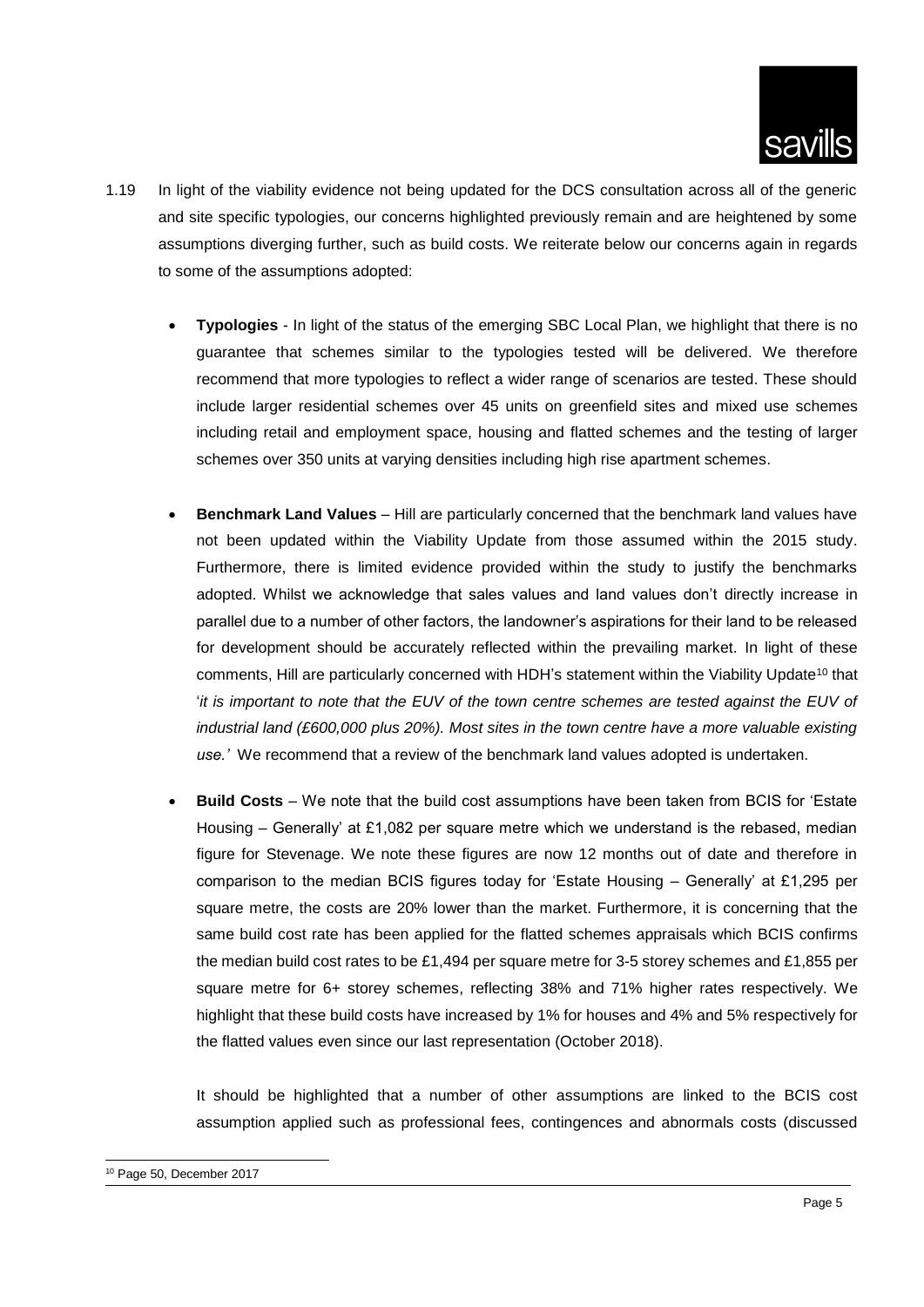

- 1.19 In light of the viability evidence not being updated for the DCS consultation across all of the generic and site specific typologies, our concerns highlighted previously remain and are heightened by some assumptions diverging further, such as build costs. We reiterate below our concerns again in regards to some of the assumptions adopted:
	- **Typologies** In light of the status of the emerging SBC Local Plan, we highlight that there is no guarantee that schemes similar to the typologies tested will be delivered. We therefore recommend that more typologies to reflect a wider range of scenarios are tested. These should include larger residential schemes over 45 units on greenfield sites and mixed use schemes including retail and employment space, housing and flatted schemes and the testing of larger schemes over 350 units at varying densities including high rise apartment schemes.
	- **Benchmark Land Values** Hill are particularly concerned that the benchmark land values have not been updated within the Viability Update from those assumed within the 2015 study. Furthermore, there is limited evidence provided within the study to justify the benchmarks adopted. Whilst we acknowledge that sales values and land values don't directly increase in parallel due to a number of other factors, the landowner's aspirations for their land to be released for development should be accurately reflected within the prevailing market. In light of these comments. Hill are particularly concerned with HDH's statement within the Viability Update<sup>10</sup> that '*it is important to note that the EUV of the town centre schemes are tested against the EUV of industrial land (£600,000 plus 20%). Most sites in the town centre have a more valuable existing use.'* We recommend that a review of the benchmark land values adopted is undertaken.
	- **Build Costs** We note that the build cost assumptions have been taken from BCIS for 'Estate Housing – Generally' at £1,082 per square metre which we understand is the rebased, median figure for Stevenage. We note these figures are now 12 months out of date and therefore in comparison to the median BCIS figures today for 'Estate Housing – Generally' at £1,295 per square metre, the costs are 20% lower than the market. Furthermore, it is concerning that the same build cost rate has been applied for the flatted schemes appraisals which BCIS confirms the median build cost rates to be £1,494 per square metre for 3-5 storey schemes and £1,855 per square metre for 6+ storey schemes, reflecting 38% and 71% higher rates respectively. We highlight that these build costs have increased by 1% for houses and 4% and 5% respectively for the flatted values even since our last representation (October 2018).

It should be highlighted that a number of other assumptions are linked to the BCIS cost assumption applied such as professional fees, contingences and abnormals costs (discussed

l

<sup>10</sup> Page 50, December 2017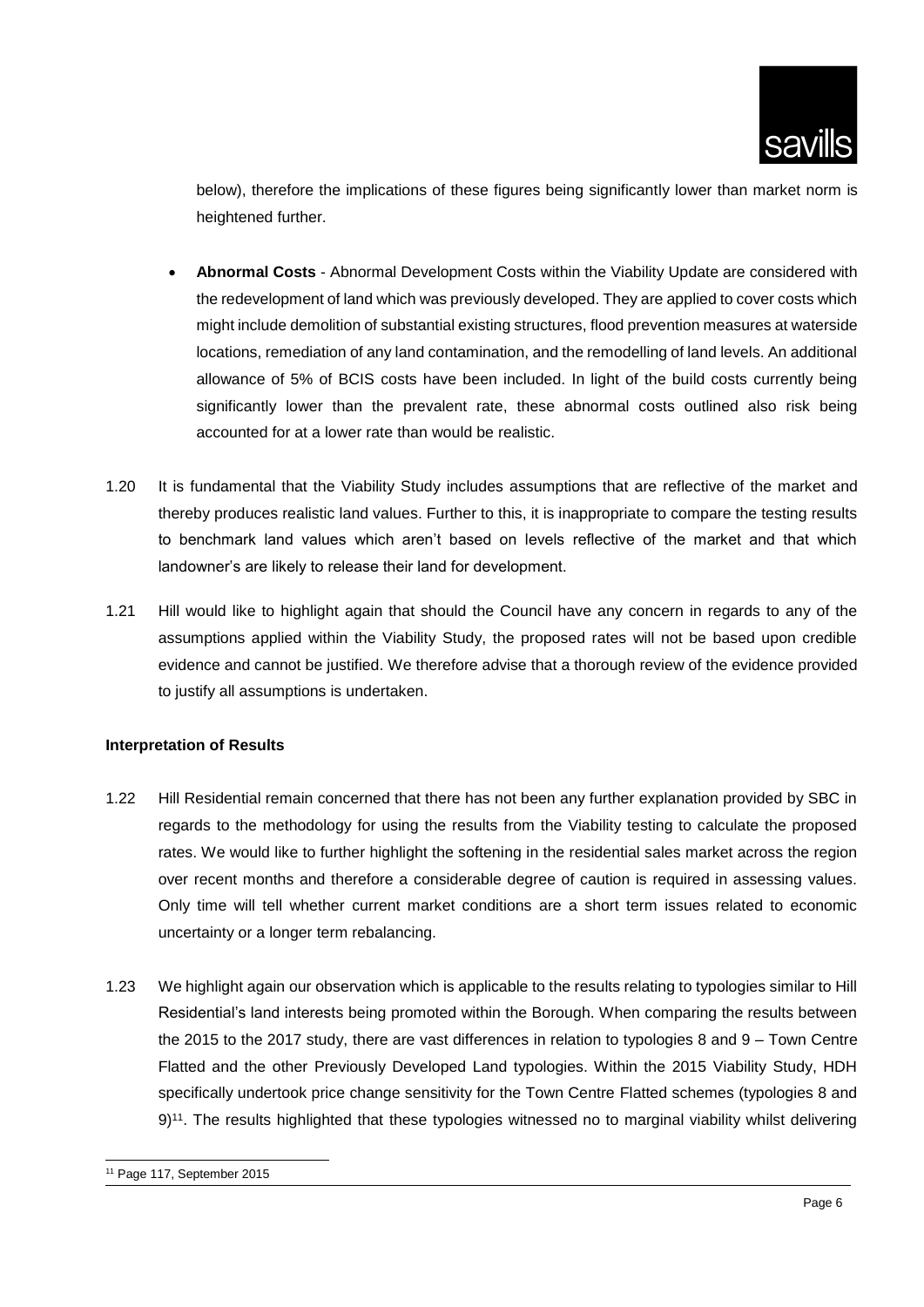

below), therefore the implications of these figures being significantly lower than market norm is heightened further.

- **Abnormal Costs** Abnormal Development Costs within the Viability Update are considered with the redevelopment of land which was previously developed. They are applied to cover costs which might include demolition of substantial existing structures, flood prevention measures at waterside locations, remediation of any land contamination, and the remodelling of land levels. An additional allowance of 5% of BCIS costs have been included. In light of the build costs currently being significantly lower than the prevalent rate, these abnormal costs outlined also risk being accounted for at a lower rate than would be realistic.
- 1.20 It is fundamental that the Viability Study includes assumptions that are reflective of the market and thereby produces realistic land values. Further to this, it is inappropriate to compare the testing results to benchmark land values which aren't based on levels reflective of the market and that which landowner's are likely to release their land for development.
- 1.21 Hill would like to highlight again that should the Council have any concern in regards to any of the assumptions applied within the Viability Study, the proposed rates will not be based upon credible evidence and cannot be justified. We therefore advise that a thorough review of the evidence provided to justify all assumptions is undertaken.

### **Interpretation of Results**

- 1.22 Hill Residential remain concerned that there has not been any further explanation provided by SBC in regards to the methodology for using the results from the Viability testing to calculate the proposed rates. We would like to further highlight the softening in the residential sales market across the region over recent months and therefore a considerable degree of caution is required in assessing values. Only time will tell whether current market conditions are a short term issues related to economic uncertainty or a longer term rebalancing.
- 1.23 We highlight again our observation which is applicable to the results relating to typologies similar to Hill Residential's land interests being promoted within the Borough. When comparing the results between the 2015 to the 2017 study, there are vast differences in relation to typologies 8 and 9 – Town Centre Flatted and the other Previously Developed Land typologies. Within the 2015 Viability Study, HDH specifically undertook price change sensitivity for the Town Centre Flatted schemes (typologies 8 and 9)<sup>11</sup>. The results highlighted that these typologies witnessed no to marginal viability whilst delivering

l

<sup>11</sup> Page 117, September 2015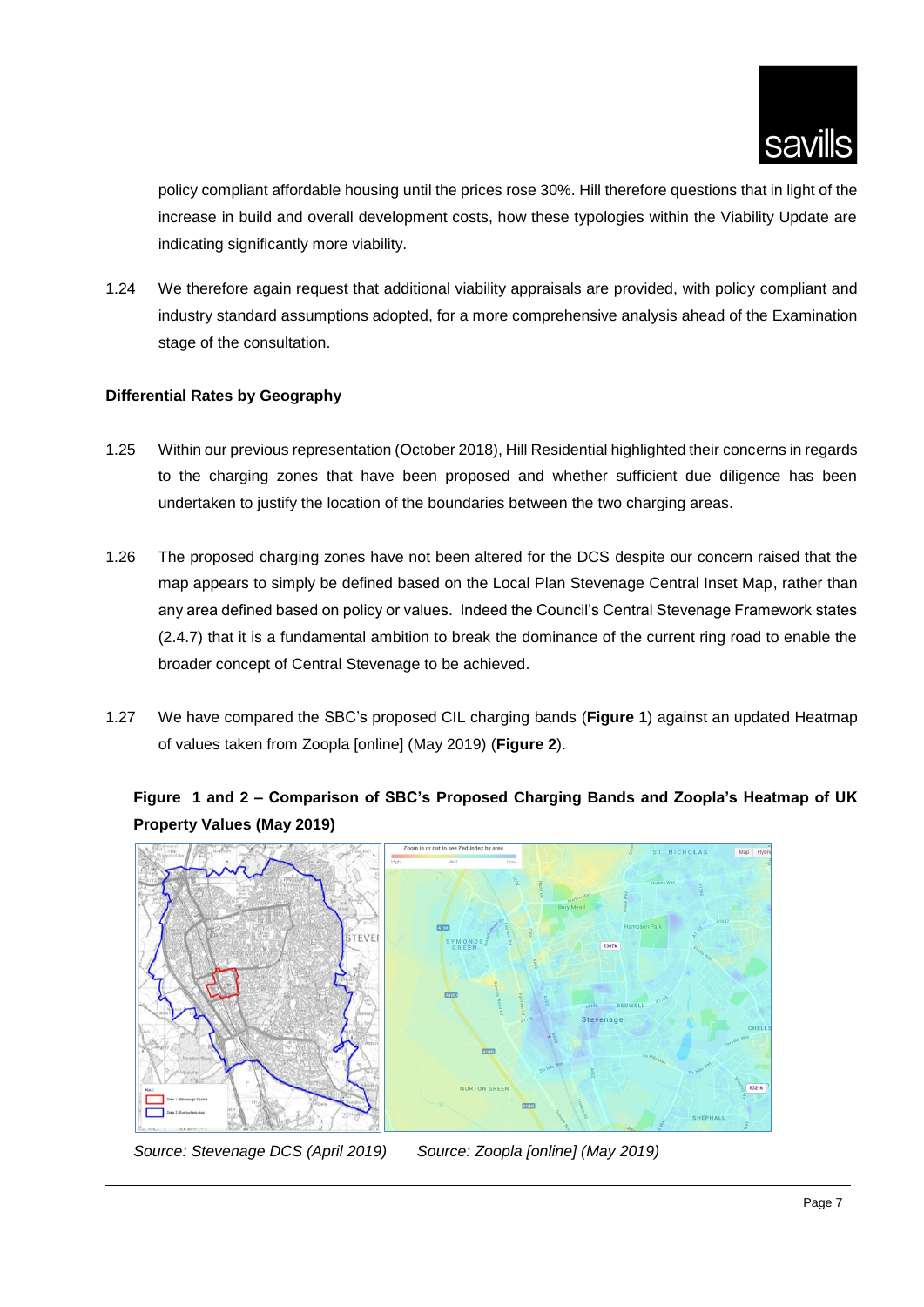

policy compliant affordable housing until the prices rose 30%. Hill therefore questions that in light of the increase in build and overall development costs, how these typologies within the Viability Update are indicating significantly more viability.

1.24 We therefore again request that additional viability appraisals are provided, with policy compliant and industry standard assumptions adopted, for a more comprehensive analysis ahead of the Examination stage of the consultation.

## **Differential Rates by Geography**

- 1.25 Within our previous representation (October 2018), Hill Residential highlighted their concerns in regards to the charging zones that have been proposed and whether sufficient due diligence has been undertaken to justify the location of the boundaries between the two charging areas.
- 1.26 The proposed charging zones have not been altered for the DCS despite our concern raised that the map appears to simply be defined based on the Local Plan Stevenage Central Inset Map, rather than any area defined based on policy or values. Indeed the Council's Central Stevenage Framework states (2.4.7) that it is a fundamental ambition to break the dominance of the current ring road to enable the broader concept of Central Stevenage to be achieved.
- 1.27 We have compared the SBC's proposed CIL charging bands (**Figure 1**) against an updated Heatmap of values taken from Zoopla [online] (May 2019) (**Figure 2**).

## **Figure 1 and 2 – Comparison of SBC's Proposed Charging Bands and Zoopla's Heatmap of UK Property Values (May 2019)**



*Source: Stevenage DCS (April 2019) Source: Zoopla [online] (May 2019)*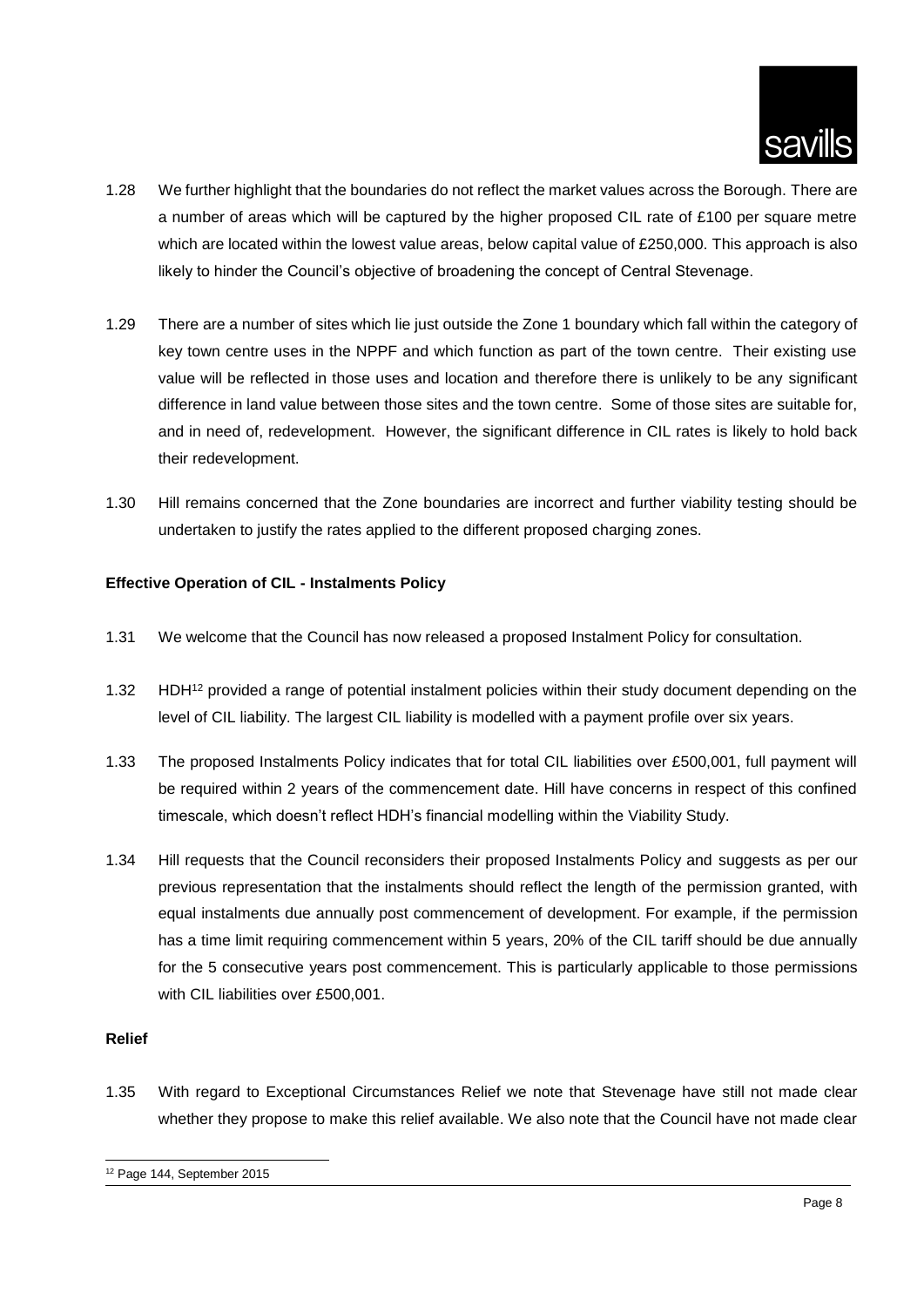

- 1.28 We further highlight that the boundaries do not reflect the market values across the Borough. There are a number of areas which will be captured by the higher proposed CIL rate of £100 per square metre which are located within the lowest value areas, below capital value of £250,000. This approach is also likely to hinder the Council's objective of broadening the concept of Central Stevenage.
- 1.29 There are a number of sites which lie just outside the Zone 1 boundary which fall within the category of key town centre uses in the NPPF and which function as part of the town centre. Their existing use value will be reflected in those uses and location and therefore there is unlikely to be any significant difference in land value between those sites and the town centre. Some of those sites are suitable for, and in need of, redevelopment. However, the significant difference in CIL rates is likely to hold back their redevelopment.
- 1.30 Hill remains concerned that the Zone boundaries are incorrect and further viability testing should be undertaken to justify the rates applied to the different proposed charging zones.

## **Effective Operation of CIL - Instalments Policy**

- 1.31 We welcome that the Council has now released a proposed Instalment Policy for consultation.
- 1.32 HDH<sup>12</sup> provided a range of potential instalment policies within their study document depending on the level of CIL liability. The largest CIL liability is modelled with a payment profile over six years.
- 1.33 The proposed Instalments Policy indicates that for total CIL liabilities over £500,001, full payment will be required within 2 years of the commencement date. Hill have concerns in respect of this confined timescale, which doesn't reflect HDH's financial modelling within the Viability Study.
- 1.34 Hill requests that the Council reconsiders their proposed Instalments Policy and suggests as per our previous representation that the instalments should reflect the length of the permission granted, with equal instalments due annually post commencement of development. For example, if the permission has a time limit requiring commencement within 5 years, 20% of the CIL tariff should be due annually for the 5 consecutive years post commencement. This is particularly applicable to those permissions with CIL liabilities over £500,001.

### **Relief**

l

1.35 With regard to Exceptional Circumstances Relief we note that Stevenage have still not made clear whether they propose to make this relief available. We also note that the Council have not made clear

<sup>12</sup> Page 144, September 2015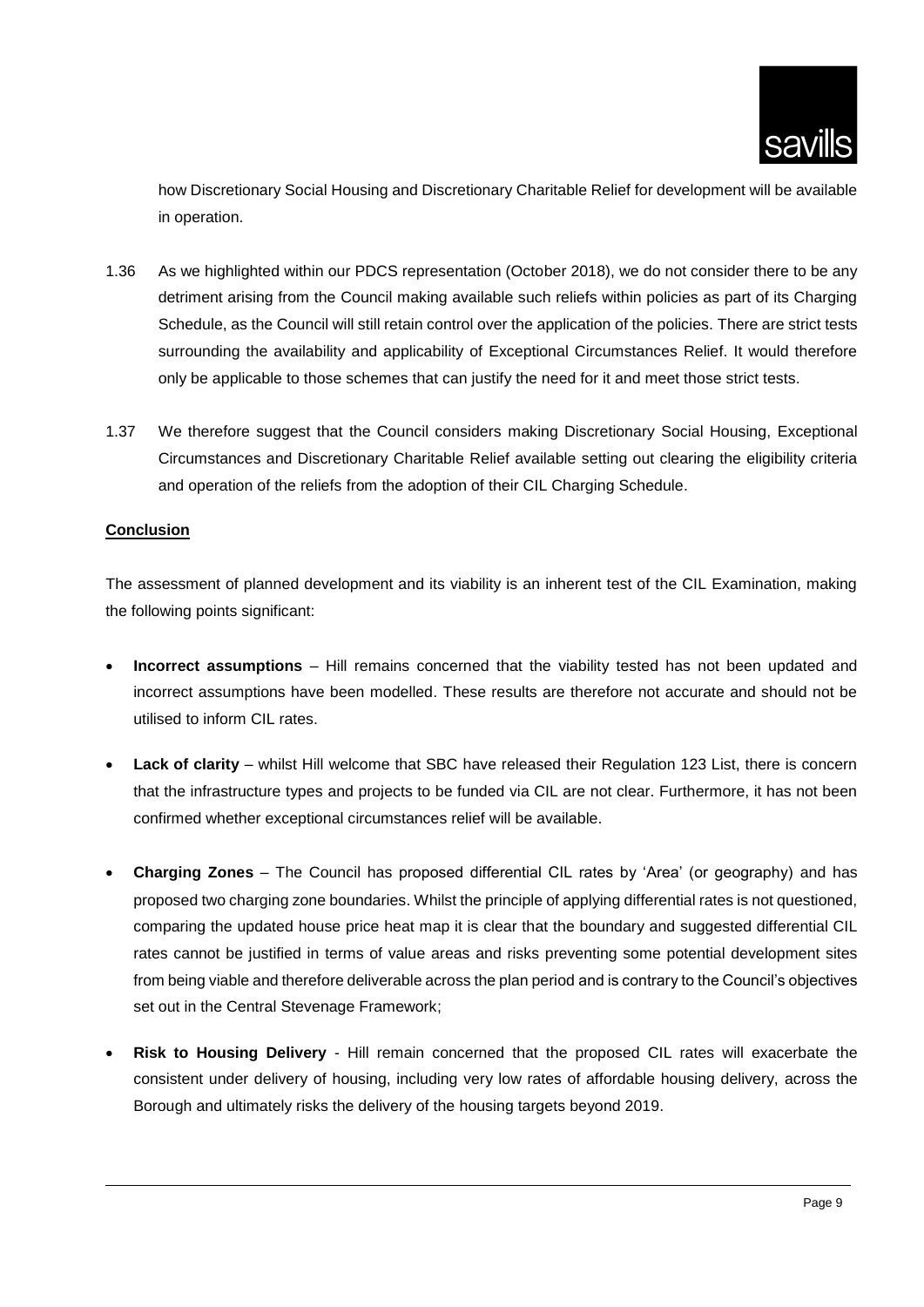how Discretionary Social Housing and Discretionary Charitable Relief for development will be available in operation.

- 1.36 As we highlighted within our PDCS representation (October 2018), we do not consider there to be any detriment arising from the Council making available such reliefs within policies as part of its Charging Schedule, as the Council will still retain control over the application of the policies. There are strict tests surrounding the availability and applicability of Exceptional Circumstances Relief. It would therefore only be applicable to those schemes that can justify the need for it and meet those strict tests.
- 1.37 We therefore suggest that the Council considers making Discretionary Social Housing, Exceptional Circumstances and Discretionary Charitable Relief available setting out clearing the eligibility criteria and operation of the reliefs from the adoption of their CIL Charging Schedule.

## **Conclusion**

The assessment of planned development and its viability is an inherent test of the CIL Examination, making the following points significant:

- **Incorrect assumptions** Hill remains concerned that the viability tested has not been updated and incorrect assumptions have been modelled. These results are therefore not accurate and should not be utilised to inform CIL rates.
- Lack of clarity whilst Hill welcome that SBC have released their Regulation 123 List, there is concern that the infrastructure types and projects to be funded via CIL are not clear. Furthermore, it has not been confirmed whether exceptional circumstances relief will be available.
- **Charging Zones** The Council has proposed differential CIL rates by 'Area' (or geography) and has proposed two charging zone boundaries. Whilst the principle of applying differential rates is not questioned, comparing the updated house price heat map it is clear that the boundary and suggested differential CIL rates cannot be justified in terms of value areas and risks preventing some potential development sites from being viable and therefore deliverable across the plan period and is contrary to the Council's objectives set out in the Central Stevenage Framework;
- **Risk to Housing Delivery** Hill remain concerned that the proposed CIL rates will exacerbate the consistent under delivery of housing, including very low rates of affordable housing delivery, across the Borough and ultimately risks the delivery of the housing targets beyond 2019.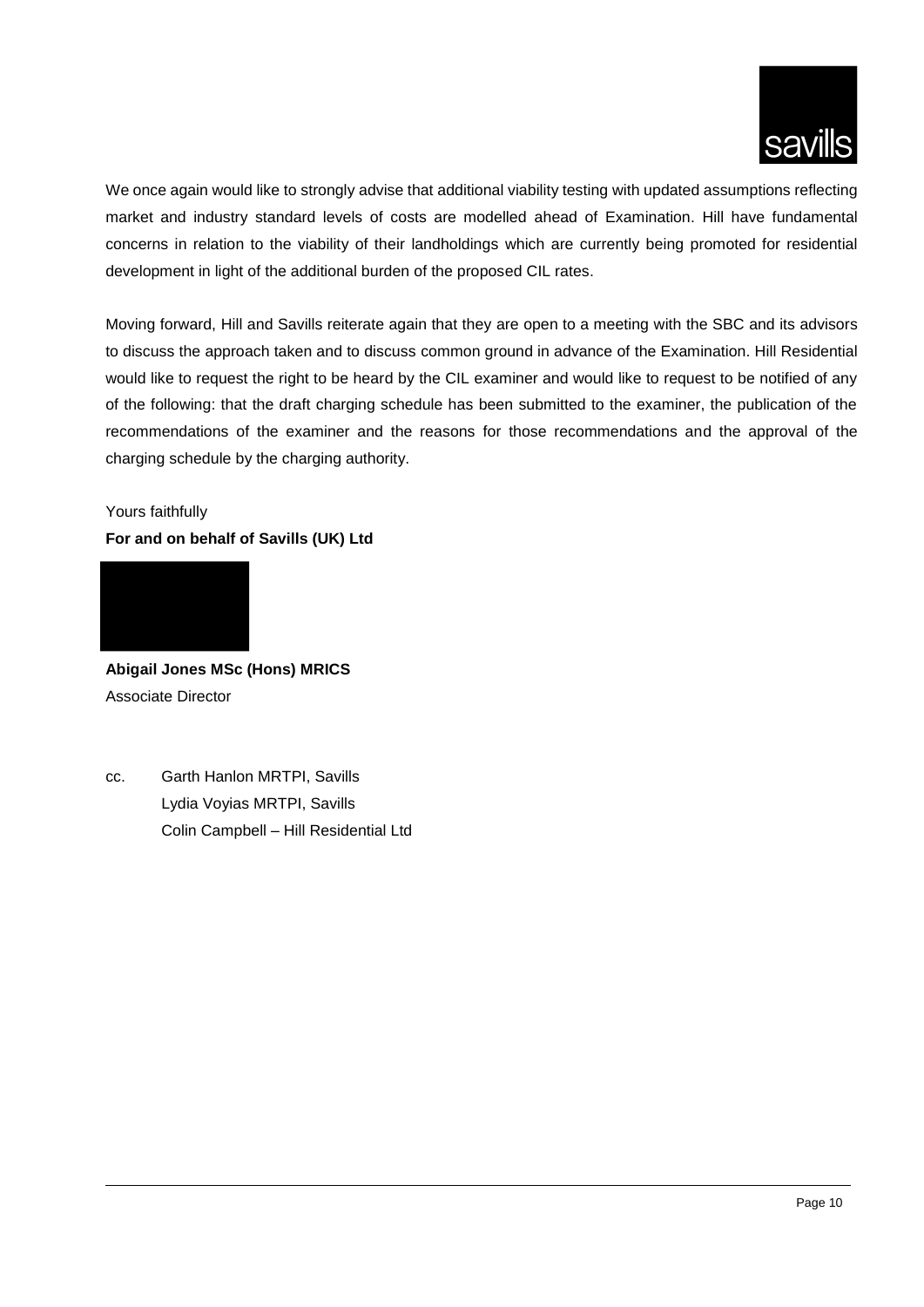

We once again would like to strongly advise that additional viability testing with updated assumptions reflecting market and industry standard levels of costs are modelled ahead of Examination. Hill have fundamental concerns in relation to the viability of their landholdings which are currently being promoted for residential development in light of the additional burden of the proposed CIL rates.

Moving forward, Hill and Savills reiterate again that they are open to a meeting with the SBC and its advisors to discuss the approach taken and to discuss common ground in advance of the Examination. Hill Residential would like to request the right to be heard by the CIL examiner and would like to request to be notified of any of the following: that the draft charging schedule has been submitted to the examiner, the publication of the recommendations of the examiner and the reasons for those recommendations and the approval of the charging schedule by the charging authority.

# Yours faithfully **For and on behalf of Savills (UK) Ltd**



**Abigail Jones MSc (Hons) MRICS** Associate Director

cc. Garth Hanlon MRTPI, Savills Lydia Voyias MRTPI, Savills Colin Campbell – Hill Residential Ltd